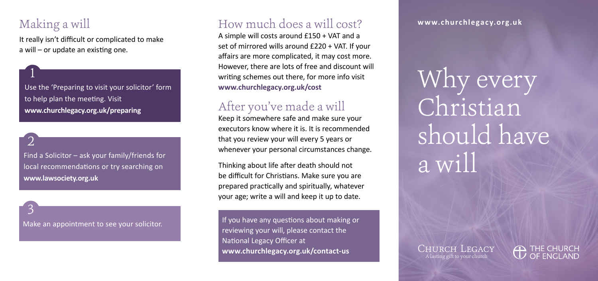## Making a will

1

2

3

It really isn't difficult or complicated to make a will – or update an existing one.

Use the 'Preparing to visit your solicitor' form to help plan the meeting. Visit **[www.churchlegacy.org.uk/preparing](http://www.churchlegacy.org.uk/preparing)**

Find a Solicitor – ask your family/friends for local recommendations or try searching on **[www.lawsociety.org.uk](http://www.lawsociety.org.uk)** 

Make an appointment to see your solicitor.

### How much does a will cost?

A simple will costs around £150 + VAT and a set of mirrored wills around £220 + VAT. If your affairs are more complicated, it may cost more. However, there are lots of free and discount will writing schemes out there, for more info visit **[www.churchlegacy.org.uk/cost](http://www.churchlegacy.org.uk/cost)** 

## After you've made a will

Keep it somewhere safe and make sure your executors know where it is. It is recommended that you review your will every 5 years or whenever your personal circumstances change.

Thinking about life after death should not be difficult for Christians. Make sure you are prepared practically and spiritually, whatever your age; write a will and keep it up to date.

If you have any questions about making or reviewing your will, please contact the National Legacy Officer at [www.churchlegacy.org.uk/contact-us](http://www.churchlegacy.org.uk/contact-us) **CHURCH LEGACY** 

**[www.churchlegacy.org.uk](http://www.churchlegacy.org.uk)**

Why every Christian should have a will

A lasting gift to your church